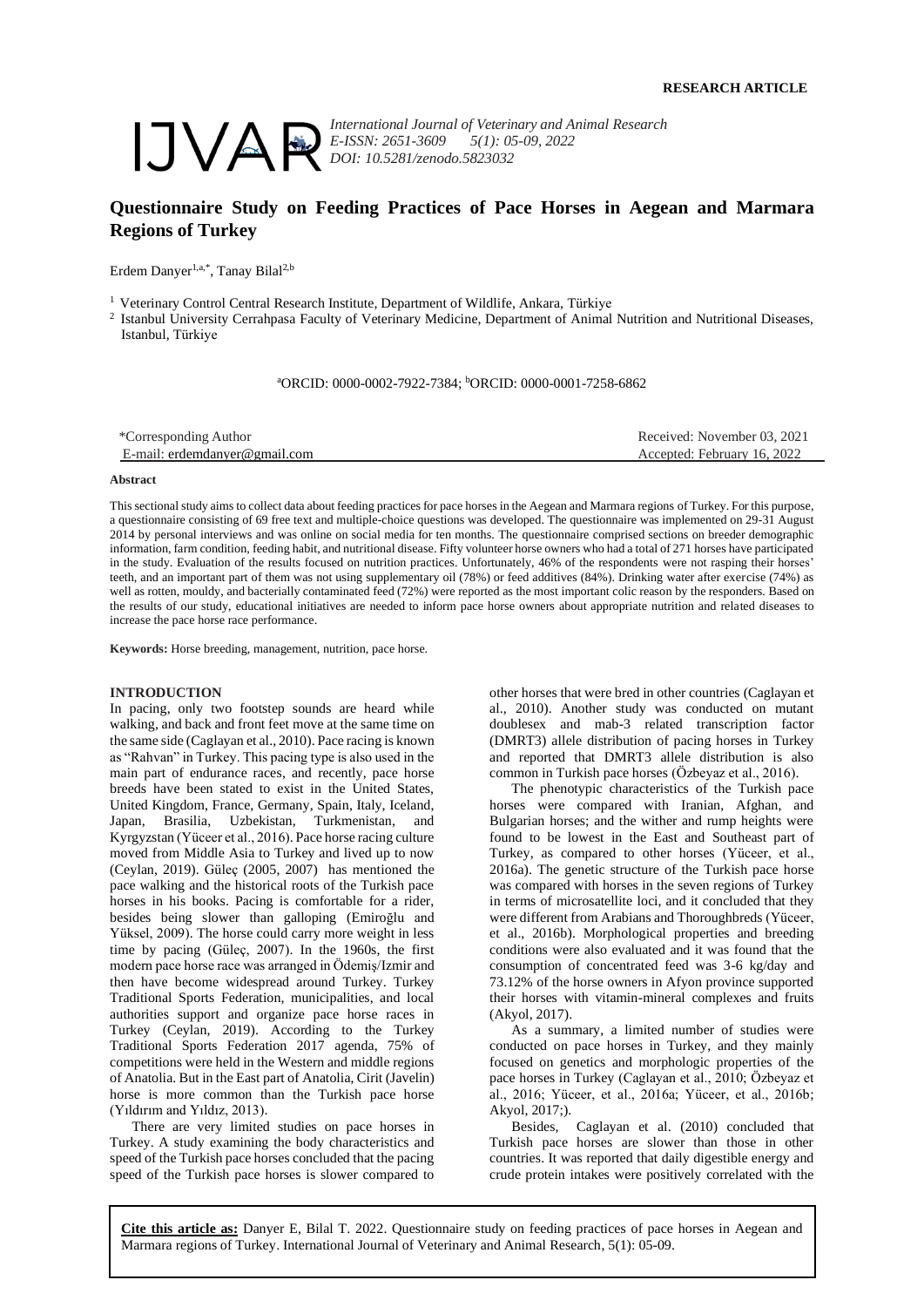

*International Journal of Veterinary and Animal Research E-ISSN: 2651-3609 5(1): 05-09, 2022 DOI: 10.5281/zenodo.5823032*

# **Questionnaire Study on Feeding Practices of Pace Horses in Aegean and Marmara Regions of Turkey**

Erdem Danyer<sup>1,a,\*</sup>, Tanay Bilal<sup>2,b</sup>

<sup>1</sup> Veterinary Control Central Research Institute, Department of Wildlife, Ankara, Türkiye

2 Istanbul University Cerrahpasa Faculty of Veterinary Medicine, Department of Animal Nutrition and Nutritional Diseases, Istanbul, Türkiye

<sup>a</sup>ORCID: 0000-0002-7922-7384; <sup>b</sup>ORCID: 0000-0001-7258-6862

| *Corresponding Author         | Received: November 03, 2021 |
|-------------------------------|-----------------------------|
| E-mail: erdemdanver@gmail.com | Accepted: February 16, 2022 |

#### **Abstract**

This sectional study aims to collect data about feeding practices for pace horses in the Aegean and Marmara regions of Turkey. For this purpose, a questionnaire consisting of 69 free text and multiple-choice questions was developed. The questionnaire was implemented on 29-31 August 2014 by personal interviews and was online on social media for ten months. The questionnaire comprised sections on breeder demographic information, farm condition, feeding habit, and nutritional disease. Fifty volunteer horse owners who had a total of 271 horses have participated in the study. Evaluation of the results focused on nutrition practices. Unfortunately, 46% of the respondents were not rasping their horses' teeth, and an important part of them was not using supplementary oil (78%) or feed additives (84%). Drinking water after exercise (74%) as well as rotten, mouldy, and bacterially contaminated feed (72%) were reported as the most important colic reason by the responders. Based on the results of our study, educational initiatives are needed to inform pace horse owners about appropriate nutrition and related diseases to increase the pace horse race performance.

**Keywords:** Horse breeding, management, nutrition, pace horse.

### **INTRODUCTION**

In pacing, only two footstep sounds are heard while walking, and back and front feet move at the same time on the same side (Caglayan et al., 2010). Pace racing is known as "Rahvan" in Turkey. This pacing type is also used in the main part of endurance races, and recently, pace horse breeds have been stated to exist in the United States, United Kingdom, France, Germany, Spain, Italy, Iceland, Japan, Brasilia, Uzbekistan, Turkmenistan, and Kyrgyzstan (Yüceer et al., 2016). Pace horse racing culture moved from Middle Asia to Turkey and lived up to now (Ceylan, 2019). Güleç (2005, 2007) has mentioned the pace walking and the historical roots of the Turkish pace horses in his books. Pacing is comfortable for a rider, besides being slower than galloping (Emiroğlu and Yüksel, 2009). The horse could carry more weight in less time by pacing (Güleç, 2007). In the 1960s, the first modern pace horse race was arranged in Ödemiş/Izmir and then have become widespread around Turkey. Turkey Traditional Sports Federation, municipalities, and local authorities support and organize pace horse races in Turkey (Ceylan, 2019). According to the Turkey Traditional Sports Federation 2017 agenda, 75% of competitions were held in the Western and middle regions of Anatolia. But in the East part of Anatolia, Cirit (Javelin) horse is more common than the Turkish pace horse (Yıldırım and Yıldız, 2013).

There are very limited studies on pace horses in Turkey. A study examining the body characteristics and speed of the Turkish pace horses concluded that the pacing speed of the Turkish pace horses is slower compared to

other horses that were bred in other countries (Caglayan et al., 2010). Another study was conducted on mutant doublesex and mab-3 related transcription factor (DMRT3) allele distribution of pacing horses in Turkey and reported that DMRT3 allele distribution is also common in Turkish pace horses (Özbeyaz et al., 2016).

The phenotypic characteristics of the Turkish pace horses were compared with Iranian, Afghan, and Bulgarian horses; and the wither and rump heights were found to be lowest in the East and Southeast part of Turkey, as compared to other horses (Yüceer, et al., 2016a). The genetic structure of the Turkish pace horse was compared with horses in the seven regions of Turkey in terms of microsatellite loci, and it concluded that they were different from Arabians and Thoroughbreds (Yüceer, et al., 2016b). Morphological properties and breeding conditions were also evaluated and it was found that the consumption of concentrated feed was 3-6 kg/day and 73.12% of the horse owners in Afyon province supported their horses with vitamin-mineral complexes and fruits (Akyol, 2017).

As a summary, a limited number of studies were conducted on pace horses in Turkey, and they mainly focused on genetics and morphologic properties of the pace horses in Turkey (Caglayan et al., 2010; Özbeyaz et al., 2016; Yüceer, et al., 2016a; Yüceer, et al., 2016b; Akyol, 2017;).

Besides, Caglayan et al. (2010) concluded that Turkish pace horses are slower than those in other countries. It was reported that daily digestible energy and crude protein intakes were positively correlated with the

**Cite this article as:** Danyer E, Bilal T. 2022. Questionnaire study on feeding practices of pace horses in Aegean and Marmara regions of Turkey. International Journal of Veterinary and Animal Research, 5(1): 05-09.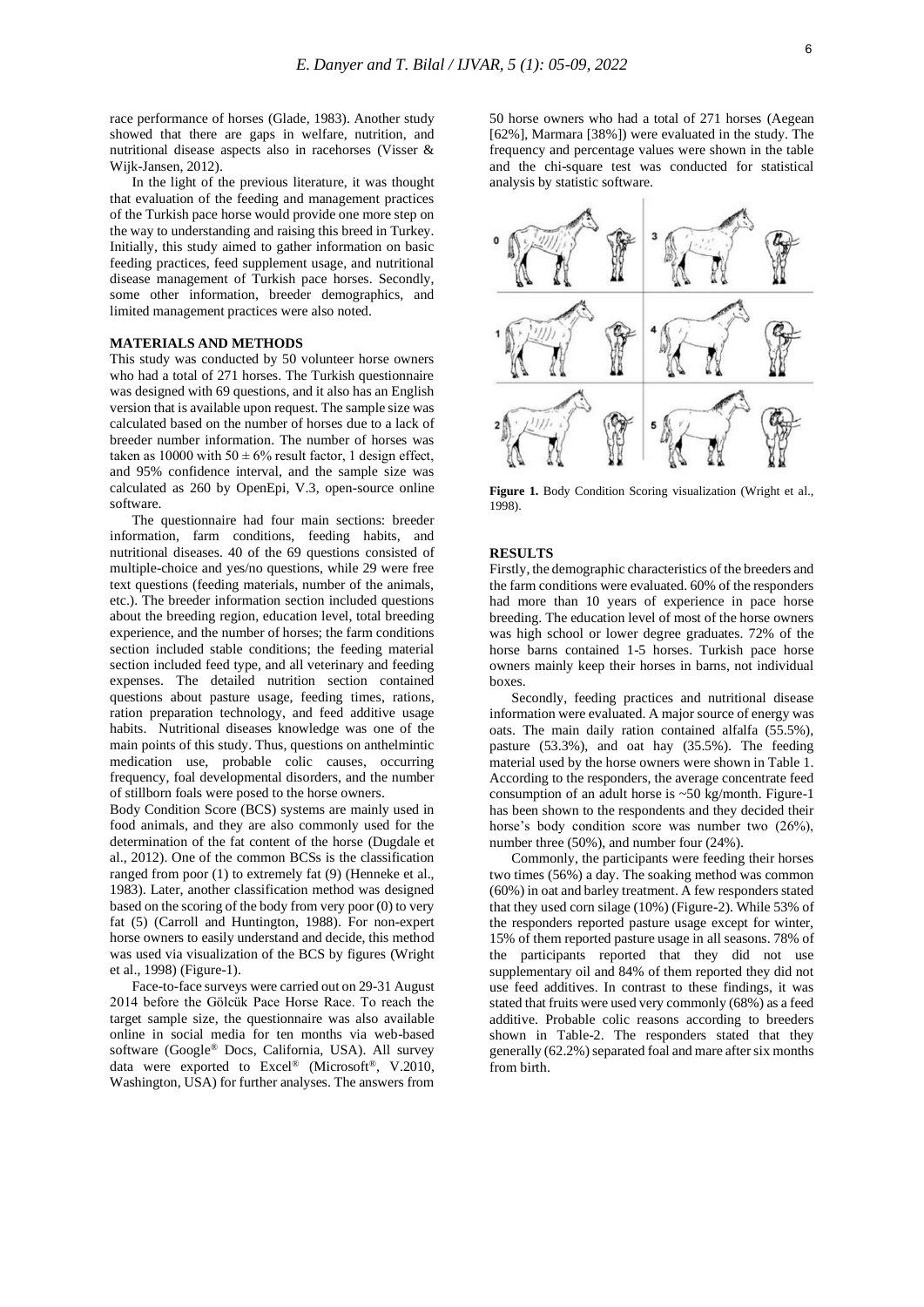race performance of horses (Glade, 1983). Another study showed that there are gaps in welfare, nutrition, and nutritional disease aspects also in racehorses (Visser & Wijk-Jansen, 2012).

In the light of the previous literature, it was thought that evaluation of the feeding and management practices of the Turkish pace horse would provide one more step on the way to understanding and raising this breed in Turkey. Initially, this study aimed to gather information on basic feeding practices, feed supplement usage, and nutritional disease management of Turkish pace horses. Secondly, some other information, breeder demographics, and limited management practices were also noted.

### **MATERIALS AND METHODS**

This study was conducted by 50 volunteer horse owners who had a total of 271 horses. The Turkish questionnaire was designed with 69 questions, and it also has an English version that is available upon request. The sample size was calculated based on the number of horses due to a lack of breeder number information. The number of horses was taken as 10000 with  $50 \pm 6\%$  result factor, 1 design effect, and 95% confidence interval, and the sample size was calculated as 260 by OpenEpi, V.3, open-source online software.

The questionnaire had four main sections: breeder information, farm conditions, feeding habits, and nutritional diseases. 40 of the 69 questions consisted of multiple-choice and yes/no questions, while 29 were free text questions (feeding materials, number of the animals, etc.). The breeder information section included questions about the breeding region, education level, total breeding experience, and the number of horses; the farm conditions section included stable conditions; the feeding material section included feed type, and all veterinary and feeding expenses. The detailed nutrition section contained questions about pasture usage, feeding times, rations, ration preparation technology, and feed additive usage habits. Nutritional diseases knowledge was one of the main points of this study. Thus, questions on anthelmintic medication use, probable colic causes, occurring frequency, foal developmental disorders, and the number of stillborn foals were posed to the horse owners.

Body Condition Score (BCS) systems are mainly used in food animals, and they are also commonly used for the determination of the fat content of the horse (Dugdale et al., 2012). One of the common BCSs is the classification ranged from poor (1) to extremely fat (9) (Henneke et al., 1983). Later, another classification method was designed based on the scoring of the body from very poor (0) to very fat (5) (Carroll and Huntington, 1988). For non-expert horse owners to easily understand and decide, this method was used via visualization of the BCS by figures (Wright et al., 1998) (Figure-1).

Face-to-face surveys were carried out on 29-31 August 2014 before the Gölcük Pace Horse Race. To reach the target sample size, the questionnaire was also available online in social media for ten months via web-based software (Google® Docs, California, USA). All survey data were exported to Excel® (Microsoft®, V.2010, Washington, USA) for further analyses. The answers from

50 horse owners who had a total of 271 horses (Aegean [62%], Marmara [38%]) were evaluated in the study. The frequency and percentage values were shown in the table and the chi-square test was conducted for statistical analysis by statistic software.



**Figure 1.** Body Condition Scoring visualization (Wright et al., 1998).

# **RESULTS**

Firstly, the demographic characteristics of the breeders and the farm conditions were evaluated. 60% of the responders had more than 10 years of experience in pace horse breeding. The education level of most of the horse owners was high school or lower degree graduates. 72% of the horse barns contained 1-5 horses. Turkish pace horse owners mainly keep their horses in barns, not individual boxes.

Secondly, feeding practices and nutritional disease information were evaluated. A major source of energy was oats. The main daily ration contained alfalfa (55.5%), pasture (53.3%), and oat hay (35.5%). The feeding material used by the horse owners were shown in Table 1. According to the responders, the average concentrate feed consumption of an adult horse is  $\sim$  50 kg/month. Figure-1 has been shown to the respondents and they decided their horse's body condition score was number two  $(26\%)$ , number three (50%), and number four (24%).

Commonly, the participants were feeding their horses two times (56%) a day. The soaking method was common (60%) in oat and barley treatment. A few responders stated that they used corn silage (10%) (Figure-2). While 53% of the responders reported pasture usage except for winter, 15% of them reported pasture usage in all seasons. 78% of the participants reported that they did not use supplementary oil and 84% of them reported they did not use feed additives. In contrast to these findings, it was stated that fruits were used very commonly (68%) as a feed additive. Probable colic reasons according to breeders shown in Table-2. The responders stated that they generally (62.2%) separated foal and mare after six months from birth.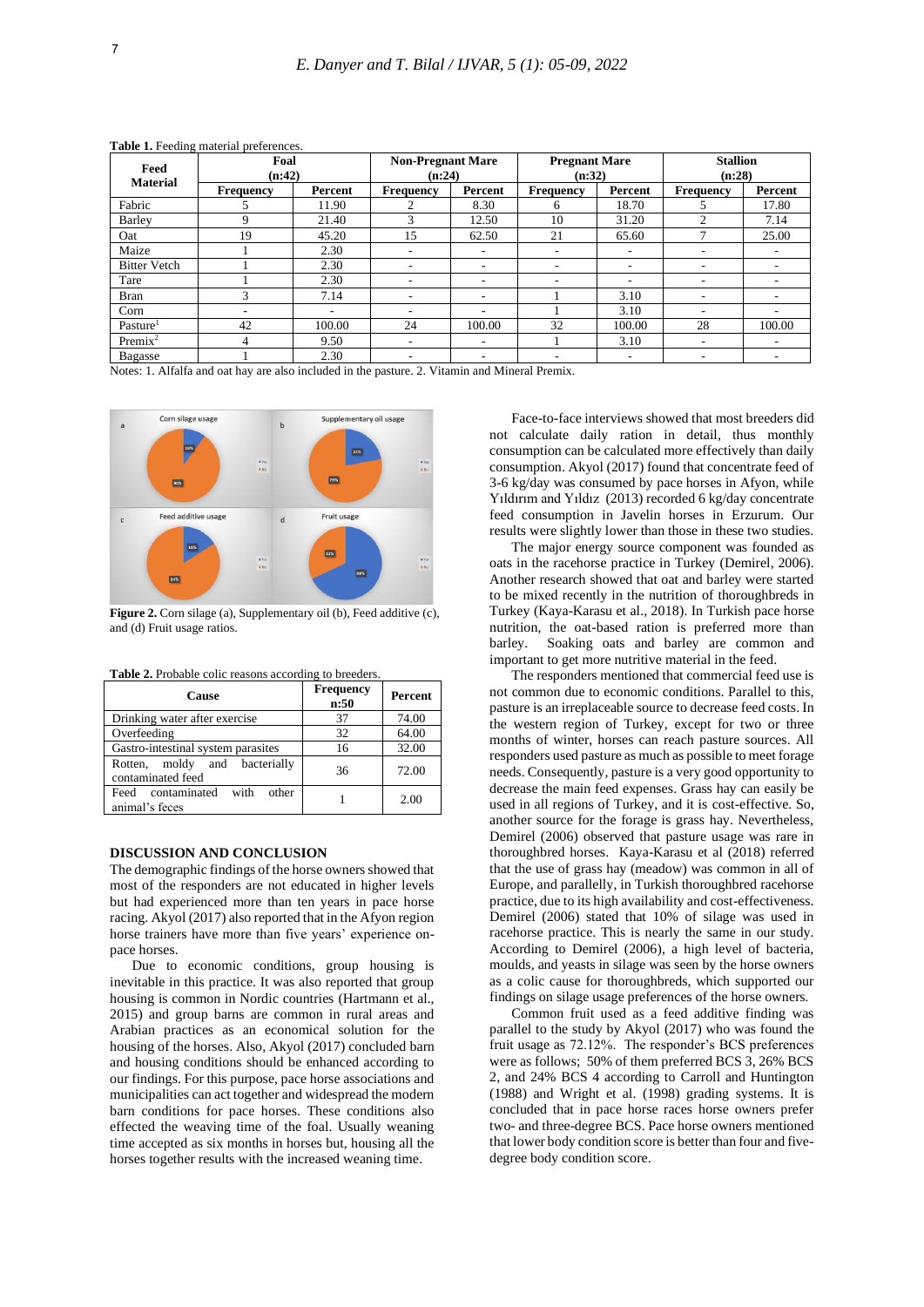| Feed<br><b>Material</b> | Foal<br>(n:42) |         | <b>Non-Pregnant Mare</b><br>(n:24) |         | <b>Pregnant Mare</b><br>(n:32) |         | <b>Stallion</b><br>(n:28)     |         |
|-------------------------|----------------|---------|------------------------------------|---------|--------------------------------|---------|-------------------------------|---------|
|                         | Frequency      | Percent | <b>Frequency</b>                   | Percent | Frequency                      | Percent | <b>Frequency</b>              | Percent |
| Fabric                  |                | 11.90   | 2                                  | 8.30    | 6                              | 18.70   |                               | 17.80   |
| Barley                  | 9              | 21.40   | 3                                  | 12.50   | 10                             | 31.20   | $\mathfrak{D}_{\mathfrak{p}}$ | 7.14    |
| Oat                     | 19             | 45.20   | 15                                 | 62.50   | 21                             | 65.60   |                               | 25.00   |
| Maize                   |                | 2.30    | $\overline{\phantom{a}}$           | ۰       | ۰                              |         | ۰                             |         |
| <b>Bitter Vetch</b>     |                | 2.30    | $\overline{\phantom{a}}$           | ۰       | ۰                              | ۰       | ۰                             |         |
| Tare                    |                | 2.30    | $\overline{\phantom{a}}$           | ۰       | ۰                              | ۰       | ۰                             |         |
| Bran                    | 3              | 7.14    | $\overline{\phantom{a}}$           | ۰       |                                | 3.10    | -                             |         |
| Corn                    | ۰              | ۰       | $\overline{\phantom{a}}$           | ۰.      |                                | 3.10    | ۰                             |         |
| Pasture <sup>1</sup>    | 42             | 100.00  | 24                                 | 100.00  | 32                             | 100.00  | 28                            | 100.00  |
| $Premix^2$              | 4              | 9.50    | $\overline{\phantom{a}}$           | -       |                                | 3.10    | $\overline{\phantom{a}}$      |         |
| Bagasse                 |                | 2.30    | $\overline{\phantom{a}}$           | -       |                                | ۰       | -                             |         |

**Table 1.** Feeding material preferences.

Notes: 1. Alfalfa and oat hay are also included in the pasture. 2. Vitamin and Mineral Premix.



**Figure 2.** Corn silage (a), Supplementary oil (b), Feed additive (c), and (d) Fruit usage ratios.

| <b>Cause</b>                                         | <b>Frequency</b><br>n:50 | Percent |  |
|------------------------------------------------------|--------------------------|---------|--|
| Drinking water after exercise                        | 37                       | 74.00   |  |
| Overfeeding                                          | 32                       | 64.00   |  |
| Gastro-intestinal system parasites                   | 16                       | 32.00   |  |
| Rotten, moldy and bacterially<br>contaminated feed   | 36                       | 72.00   |  |
| contaminated with<br>other<br>Feed<br>animal's feces |                          | 2.00    |  |

**Table 2.** Probable colic reasons according to breeders.

# **DISCUSSION AND CONCLUSION**

The demographic findings of the horse owners showed that most of the responders are not educated in higher levels but had experienced more than ten years in pace horse racing. Akyol (2017) also reported that in the Afyon region horse trainers have more than five years' experience onpace horses.

Due to economic conditions, group housing is inevitable in this practice. It was also reported that group housing is common in Nordic countries (Hartmann et al., 2015) and group barns are common in rural areas and Arabian practices as an economical solution for the housing of the horses. Also, Akyol (2017) concluded barn and housing conditions should be enhanced according to our findings. For this purpose, pace horse associations and municipalities can act together and widespread the modern barn conditions for pace horses. These conditions also effected the weaving time of the foal. Usually weaning time accepted as six months in horses but, housing all the horses together results with the increased weaning time.

Face-to-face interviews showed that most breeders did not calculate daily ration in detail, thus monthly consumption can be calculated more effectively than daily consumption. Akyol (2017) found that concentrate feed of 3-6 kg/day was consumed by pace horses in Afyon, while Yıldırım and Yıldız (2013) recorded 6 kg/day concentrate feed consumption in Javelin horses in Erzurum. Our results were slightly lower than those in these two studies.

The major energy source component was founded as oats in the racehorse practice in Turkey (Demirel, 2006). Another research showed that oat and barley were started to be mixed recently in the nutrition of thoroughbreds in Turkey (Kaya-Karasu et al., 2018). In Turkish pace horse nutrition, the oat-based ration is preferred more than barley. Soaking oats and barley are common and important to get more nutritive material in the feed.

The responders mentioned that commercial feed use is not common due to economic conditions. Parallel to this, pasture is an irreplaceable source to decrease feed costs. In the western region of Turkey, except for two or three months of winter, horses can reach pasture sources. All responders used pasture as much as possible to meet forage needs. Consequently, pasture is a very good opportunity to decrease the main feed expenses. Grass hay can easily be used in all regions of Turkey, and it is cost-effective. So, another source for the forage is grass hay. Nevertheless, Demirel (2006) observed that pasture usage was rare in thoroughbred horses. Kaya-Karasu et al (2018) referred that the use of grass hay (meadow) was common in all of Europe, and parallelly, in Turkish thoroughbred racehorse practice, due to its high availability and cost-effectiveness. Demirel (2006) stated that 10% of silage was used in racehorse practice. This is nearly the same in our study. According to Demirel (2006), a high level of bacteria, moulds, and yeasts in silage was seen by the horse owners as a colic cause for thoroughbreds, which supported our findings on silage usage preferences of the horse owners.

Common fruit used as a feed additive finding was parallel to the study by Akyol (2017) who was found the fruit usage as 72.12%. The responder's BCS preferences were as follows; 50% of them preferred BCS 3, 26% BCS 2, and 24% BCS 4 according to Carroll and Huntington (1988) and Wright et al. (1998) grading systems. It is concluded that in pace horse races horse owners prefer two- and three-degree BCS. Pace horse owners mentioned that lower body condition score is better than four and fivedegree body condition score.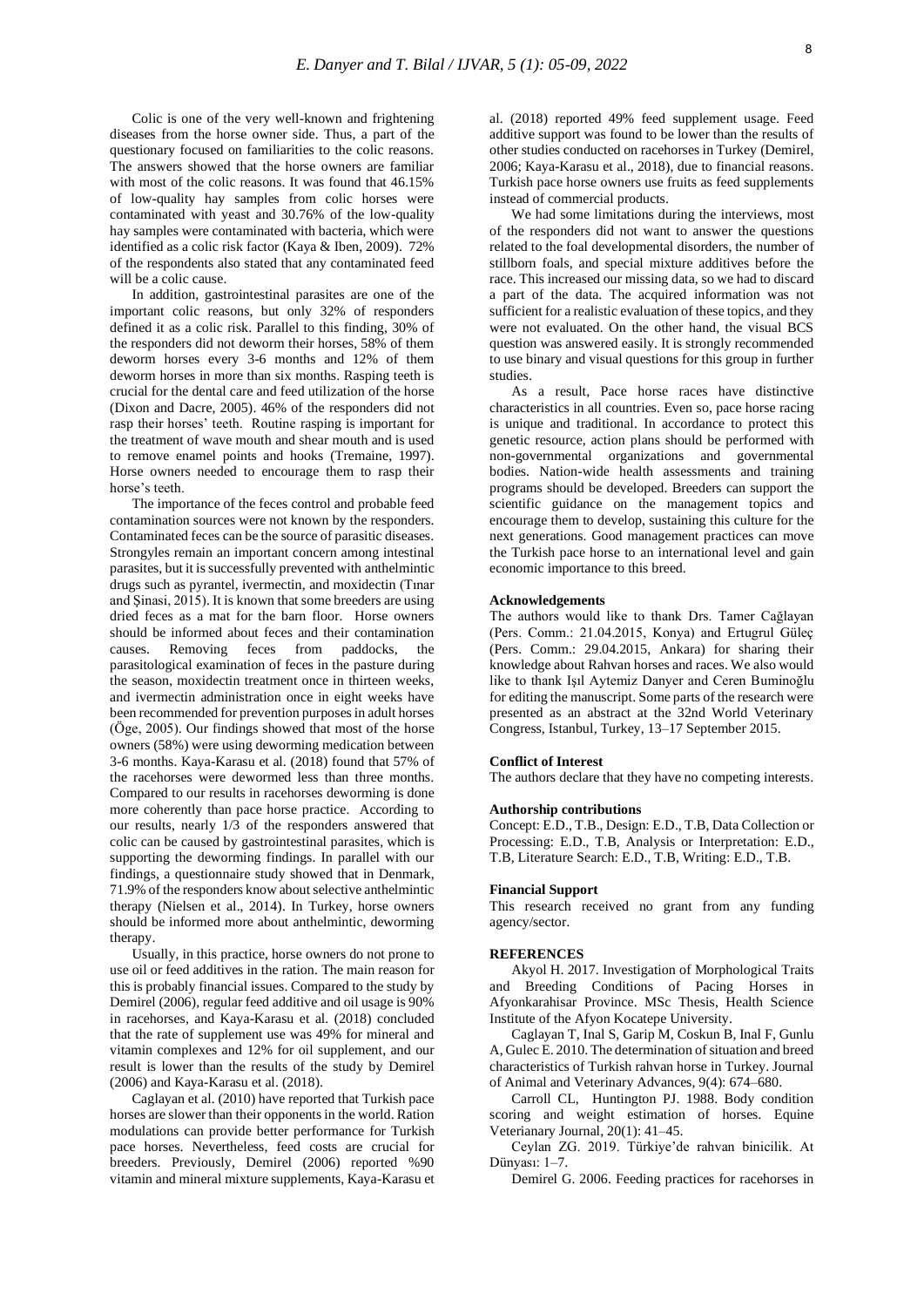Colic is one of the very well-known and frightening diseases from the horse owner side. Thus, a part of the questionary focused on familiarities to the colic reasons. The answers showed that the horse owners are familiar with most of the colic reasons. It was found that 46.15% of low-quality hay samples from colic horses were contaminated with yeast and 30.76% of the low-quality hay samples were contaminated with bacteria, which were identified as a colic risk factor (Kaya & Iben, 2009). 72% of the respondents also stated that any contaminated feed will be a colic cause.

In addition, gastrointestinal parasites are one of the important colic reasons, but only 32% of responders defined it as a colic risk. Parallel to this finding, 30% of the responders did not deworm their horses, 58% of them deworm horses every 3-6 months and 12% of them deworm horses in more than six months. Rasping teeth is crucial for the dental care and feed utilization of the horse (Dixon and Dacre, 2005). 46% of the responders did not rasp their horses' teeth. Routine rasping is important for the treatment of wave mouth and shear mouth and is used to remove enamel points and hooks (Tremaine, 1997). Horse owners needed to encourage them to rasp their horse's teeth.

The importance of the feces control and probable feed contamination sources were not known by the responders. Contaminated feces can be the source of parasitic diseases. Strongyles remain an important concern among intestinal parasites, but it is successfully prevented with anthelmintic drugs such as pyrantel, ivermectin, and moxidectin (Tınar and Şinasi, 2015). It is known that some breeders are using dried feces as a mat for the barn floor. Horse owners should be informed about feces and their contamination causes. Removing feces from paddocks, the parasitological examination of feces in the pasture during the season, moxidectin treatment once in thirteen weeks, and ivermectin administration once in eight weeks have been recommended for prevention purposes in adult horses (Öge, 2005). Our findings showed that most of the horse owners (58%) were using deworming medication between 3-6 months. Kaya-Karasu et al. (2018) found that 57% of the racehorses were dewormed less than three months. Compared to our results in racehorses deworming is done more coherently than pace horse practice. According to our results, nearly 1/3 of the responders answered that colic can be caused by gastrointestinal parasites, which is supporting the deworming findings. In parallel with our findings, a questionnaire study showed that in Denmark, 71.9% of the responders know about selective anthelmintic therapy (Nielsen et al., 2014). In Turkey, horse owners should be informed more about anthelmintic, deworming therapy.

Usually, in this practice, horse owners do not prone to use oil or feed additives in the ration. The main reason for this is probably financial issues. Compared to the study by Demirel (2006), regular feed additive and oil usage is 90% in racehorses, and Kaya-Karasu et al. (2018) concluded that the rate of supplement use was 49% for mineral and vitamin complexes and 12% for oil supplement, and our result is lower than the results of the study by Demirel (2006) and Kaya-Karasu et al. (2018).

Caglayan et al. (2010) have reported that Turkish pace horses are slower than their opponents in the world. Ration modulations can provide better performance for Turkish pace horses. Nevertheless, feed costs are crucial for breeders. Previously, Demirel (2006) reported %90 vitamin and mineral mixture supplements, Kaya-Karasu et

al. (2018) reported 49% feed supplement usage. Feed additive support was found to be lower than the results of other studies conducted on racehorses in Turkey (Demirel, 2006; Kaya-Karasu et al., 2018), due to financial reasons. Turkish pace horse owners use fruits as feed supplements instead of commercial products.

We had some limitations during the interviews, most of the responders did not want to answer the questions related to the foal developmental disorders, the number of stillborn foals, and special mixture additives before the race. This increased our missing data, so we had to discard a part of the data. The acquired information was not sufficient for a realistic evaluation of these topics, and they were not evaluated. On the other hand, the visual BCS question was answered easily. It is strongly recommended to use binary and visual questions for this group in further studies.

As a result, Pace horse races have distinctive characteristics in all countries. Even so, pace horse racing is unique and traditional. In accordance to protect this genetic resource, action plans should be performed with non-governmental organizations and governmental bodies. Nation-wide health assessments and training programs should be developed. Breeders can support the scientific guidance on the management topics and encourage them to develop, sustaining this culture for the next generations. Good management practices can move the Turkish pace horse to an international level and gain economic importance to this breed.

### **Acknowledgements**

The authors would like to thank Drs. Tamer Cağlayan (Pers. Comm.: 21.04.2015, Konya) and Ertugrul Güleç (Pers. Comm.: 29.04.2015, Ankara) for sharing their knowledge about Rahvan horses and races. We also would like to thank Işıl Aytemiz Danyer and Ceren Buminoğlu for editing the manuscript. Some parts of the research were presented as an abstract at the 32nd World Veterinary Congress, Istanbul, Turkey, 13–17 September 2015.

#### **Conflict of Interest**

The authors declare that they have no competing interests.

#### **Authorship contributions**

Concept: E.D., T.B., Design: E.D., T.B, Data Collection or Processing: E.D., T.B, Analysis or Interpretation: E.D., T.B, Literature Search: E.D., T.B, Writing: E.D., T.B.

#### **Financial Support**

This research received no grant from any funding agency/sector.

### **REFERENCES**

Akyol H. 2017. Investigation of Morphological Traits and Breeding Conditions of Pacing Horses in Afyonkarahisar Province. MSc Thesis, Health Science Institute of the Afyon Kocatepe University.

Caglayan T, Inal S, Garip M, Coskun B, Inal F, Gunlu A, Gulec E. 2010. The determination of situation and breed characteristics of Turkish rahvan horse in Turkey. Journal of Animal and Veterinary Advances, 9(4): 674–680.

Carroll CL, Huntington PJ. 1988. Body condition scoring and weight estimation of horses. Equine Veterianary Journal, 20(1): 41–45.

Ceylan ZG. 2019. Türkiye'de rahvan binicilik. At Dünyası: 1–7.

Demirel G. 2006. Feeding practices for racehorses in